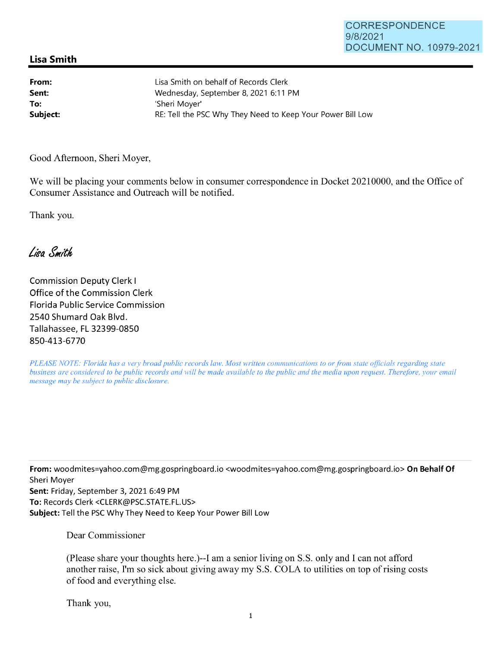## **Lisa Smith**

**From: Sent: To:** 

Lisa Smith on behalf of Records Clerk Wednesday, September 8, 2021 6:11 PM 'Sheri Moyer' Subject: **Subject: RE: Tell the PSC Why They Need to Keep Your Power Bill Low** 

Good Afternoon, Sheri Moyer,

We will be placing your comments below in consumer correspondence in Docket 20210000, and the Office of Consumer Assistance and Outreach will be notified.

Thank you.

Lisa Smith

Commission Deputy Clerk I Office of the Commission Clerk Florida Public Service Commission 2540 Shumard Oak Blvd. Tallahassee, FL 32399-0850 850-413-6770

*PLEASE NOTE: Florida has a very broad public records law. Most written communications to or from state officials regarding state business are considered to be public records and will be made available to the public and the media upon request. Therefore, your email message may be subject to public disclosure.* 

**From:** woodmites=yahoo.com@mg.gospringboard.io <woodmites=yahoo.com@mg.gospringboard.io> **On Behalf Of**  Sheri Moyer

**Sent:** Friday, September 3, 2021 6:49 PM **To:** Records Clerk <CLERK@PSC.STATE.FL.US> **Subject:** Tell the PSC Why They Need to Keep Your Power Bill Low

Dear Commissioner

(Please share your thoughts here.)--1 am a senior living on S.S. only and I can not afford another raise, I'm so sick about giving away my S.S. COLA to utilities on top of rising costs of food and everything else.

Thank you,